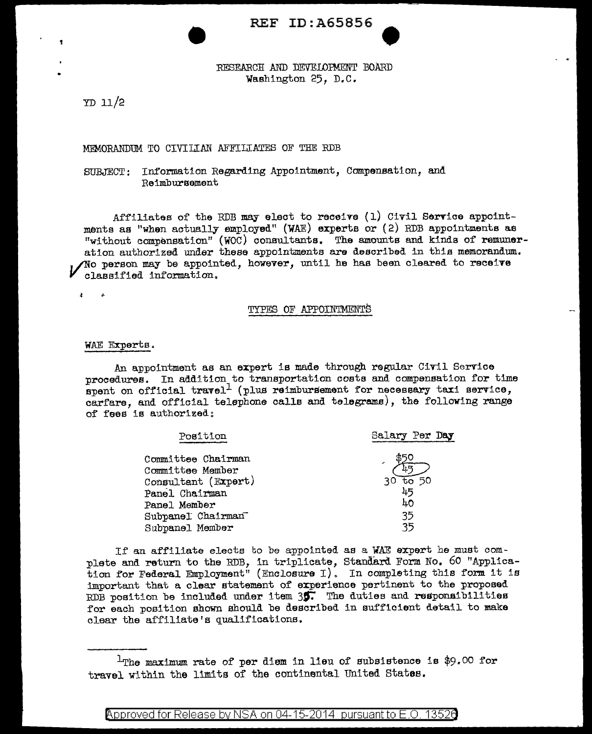# REF ID: A65856

RESEARCH AND DEVELOPMENT BOARD Washington 25, D.C.

YD 11/2

# MEMORANDUM TO CIVILIAN AFFILIATES OF THE RDB

## SUBJECT: Information Regarding Appointment, Compensation. and Reimbursement

Affiliates of the RDB may elect to receive  $(1)$  Civil Service appointments aa "when actually employed" (WAE) experts or (2) RDB appointments as "without compensation" (WOC) consultants. The amounts and kinds of remuneration authorized under these appointments are described in thia memorandum.  $\gamma$ No person may be appointed, however, until he has been cleared to receive classified information.

 $\mathbf{z}$ Ŧ.

## TYPES OF APPOINTMENTS

#### WAE Experts.

An appointment as an expert is made through regular Civil Service procedures. In addition to transportation costs and compensation for time spent on official travel<sup>1</sup> (plus reimbursement for necessary taxi service, carfare, and official telephone calls and telegrams), the following range of fees is authorized:

| Position            | Salary Per Day          |
|---------------------|-------------------------|
| Committee Chairman  |                         |
| Committee Member    |                         |
| Consultant (Expert) | $\overline{t}$ 50<br>30 |
| Panel Chairman      | 45                      |
| Panel Member        | 40                      |
| Subpanel Chairman   | 35                      |
| Subpanel Member     | 35                      |

If an affiliate elects to be appointed as a WAE expert he must complete and return to the RDB, in triplicate, Standard Form No. 60 "Application for Federal Employment" (Enclosure I). In completing this form it is important that a clear statement of experience pertinent to the proposed RDB position be included under item  $35$ . The duties and responsibilities for each position shown should be described in sufficient detail to make clear the affiliate's qualifications.

Approved for Release by NSA on 04-15-2014 pursuant to E.O. 13526

 $1$ The maximum rate of per diem in lieu of subsistence is \$9.00 for travel within the limits of the continental United States.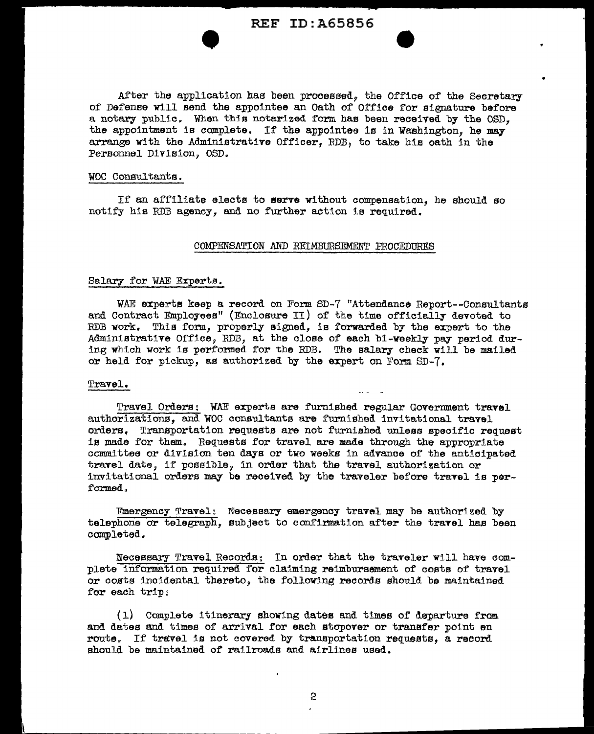# **REF ID: A65856**

After the application has been processed, the Office of the Secretary of Defense will send the appointee an Oath of Office for signature before a notary public. When this notarized form has been received by the OSD. the appointment is complete. If the appointee is in Washington, he may arrange with the Administrative Officer. RDB, to take his oath in the Personnel Division, OSD.

#### WOC Consultants.

If an affiliate elects to serve without compensation, he should so notify his RDB agency, and no further action is required.

#### COMPENSATION AND REIMBURSEMENT PROCEDURES

### Salary for WAE Experts.

WAE experts keep a record on Form SD-7 "Attendance Report--Consultants and Contract Employees" (Enclosure II) of the time officially devoted to RDB work. This form, properly signed, is forwarded by the expert to the Administrative Office, RDB, at the close of each bi-weekly pay period during which work is performed for the RDB. The salary check will be mailed or held for pickup, as authorized by the expert on Form SD-7.

#### Travel.

Travel Orders: WAE experts are furnished regular Government travel authorizations, and WOC consultants are furnished invitational travel orders. Transportation requests are not furnished unless specific request is made for them. Requests for travel are made through the appropriate committee or division ten days or two weeks in advance of the anticipated travel date, if possible, in order that the travel authorization or invitational orders may be received by the traveler before travel is performed.

Emergency Travel: Necessary emergency travel may be authorized by telephone or telegraph, subject to confirmation after the travel has been completed.

Necessary Travel Records; In order that the traveler will have complete information required for claiming reimbursement of costs of travel or costs incidental thereto, the following records should be maintained for each trip;

(1) Complete itinerary showing dates and times of departure from and dates and times of arrival for each stopover or transfer point en route. If travel is not covered by transportation requests, a record should be maintained of railroads and airlines used.